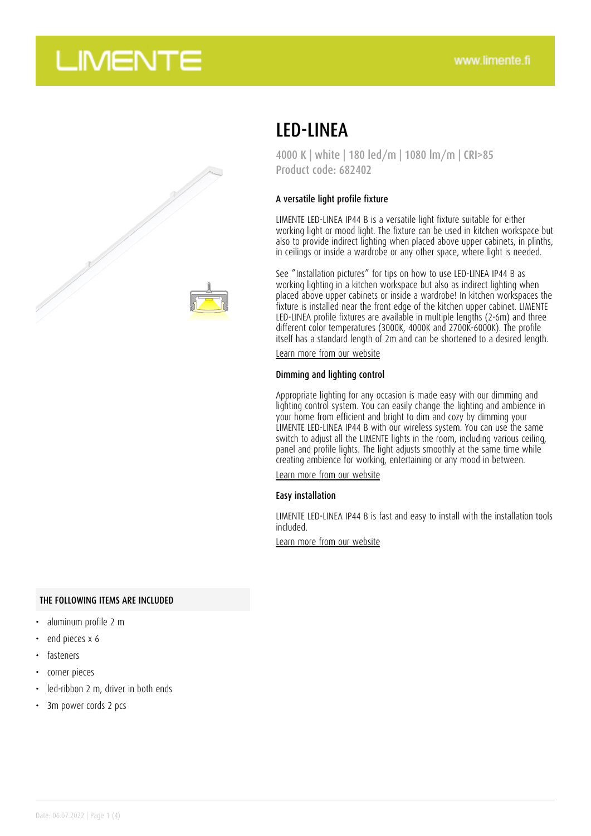



## LED-LINEA

4000 K | white | 180 led/m | 1080 lm/m | CRI>85 Product code: 682402

#### A versatile light profile fixture

LIMENTE LED-LINEA IP44 B is a versatile light fixture suitable for either working light or mood light. The fixture can be used in kitchen workspace but also to provide indirect lighting when placed above upper cabinets, in plinths, in ceilings or inside a wardrobe or any other space, where light is needed.

See "Installation pictures" for tips on how to use LED-LINEA IP44 B as working lighting in a kitchen workspace but also as indirect lighting when placed above upper cabinets or inside a wardrobe! In kitchen workspaces the fixture is installed near the front edge of the kitchen upper cabinet. LIMENTE LED-LINEA profile fixtures are available in multiple lengths (2-6m) and three different color temperatures (3000K, 4000K and 2700K-6000K). The profile itself has a standard length of 2m and can be shortened to a desired length.

[Learn more from our website](https://www.limente.fi/tuotteet/682402)

#### Dimming and lighting control

Appropriate lighting for any occasion is made easy with our dimming and lighting control system. You can easily change the lighting and ambience in your home from efficient and bright to dim and cozy by dimming your LIMENTE LED-LINEA IP44 B with our wireless system. You can use the same switch to adjust all the LIMENTE lights in the room, including various ceiling, panel and profile lights. The light adjusts smoothly at the same time while creating ambience for working, entertaining or any mood in between.

[Learn more from our website](https://www.limente.fi/tuotteet/682402)

#### Easy installation

LIMENTE LED-LINEA IP44 B is fast and easy to install with the installation tools included.

[Learn more from our website](https://www.limente.fi/tuotteet/682402)

### THE FOLLOWING ITEMS ARE INCLUDED

- aluminum profile 2 m
- end pieces x 6
- **fasteners**
- corner pieces
- led-ribbon 2 m, driver in both ends
- 3m power cords 2 pcs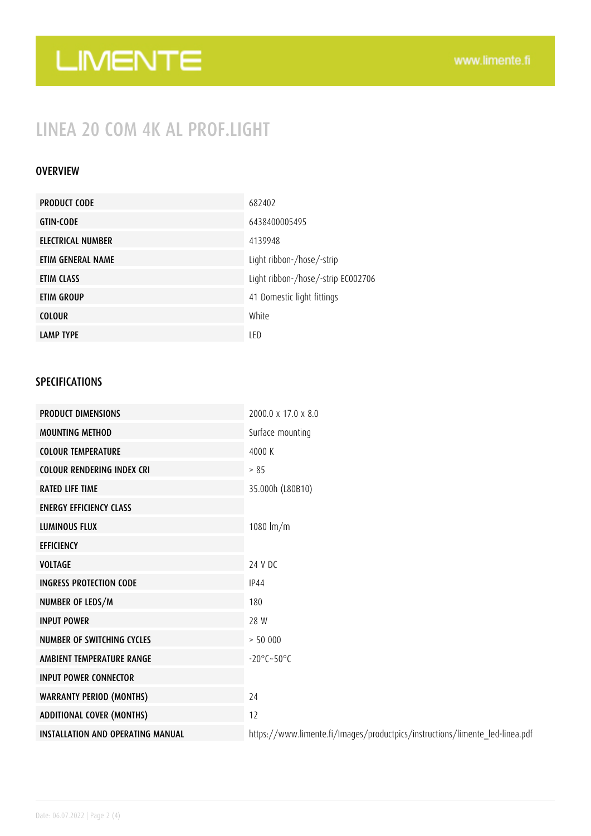# LIMENTE

## LINEA 20 COM 4K AL PROF.LIGHT

## OVERVIEW

| <b>PRODUCT CODE</b> | 682402                             |
|---------------------|------------------------------------|
| <b>GTIN-CODE</b>    | 6438400005495                      |
| ELECTRICAL NUMBER   | 4139948                            |
| ETIM GENERAL NAME   | Light ribbon-/hose/-strip          |
| ETIM CLASS          | Light ribbon-/hose/-strip EC002706 |
| ETIM GROUP          | 41 Domestic light fittings         |
| <b>COLOUR</b>       | White                              |
| <b>LAMP TYPE</b>    | LED                                |

## SPECIFICATIONS

| <b>PRODUCT DIMENSIONS</b>                | $2000.0 \times 17.0 \times 8.0$                                              |
|------------------------------------------|------------------------------------------------------------------------------|
| <b>MOUNTING METHOD</b>                   | Surface mounting                                                             |
| <b>COLOUR TEMPERATURE</b>                | 4000 K                                                                       |
| <b>COLOUR RENDERING INDEX CRI</b>        | > 85                                                                         |
| <b>RATED LIFE TIME</b>                   | 35.000h (L80B10)                                                             |
| <b>ENERGY EFFICIENCY CLASS</b>           |                                                                              |
| <b>LUMINOUS FLUX</b>                     | 1080 $Im/m$                                                                  |
| <b>EFFICIENCY</b>                        |                                                                              |
| <b>VOLTAGE</b>                           | 24 V DC                                                                      |
| <b>INGRESS PROTECTION CODE</b>           | <b>IP44</b>                                                                  |
| NUMBER OF LEDS/M                         | 180                                                                          |
| <b>INPUT POWER</b>                       | 28 W                                                                         |
| <b>NUMBER OF SWITCHING CYCLES</b>        | > 50000                                                                      |
| AMBIENT TEMPERATURE RANGE                | $-20^{\circ}$ C $-50^{\circ}$ C                                              |
| <b>INPUT POWER CONNECTOR</b>             |                                                                              |
| <b>WARRANTY PERIOD (MONTHS)</b>          | 24                                                                           |
| <b>ADDITIONAL COVER (MONTHS)</b>         | 12                                                                           |
| <b>INSTALLATION AND OPERATING MANUAL</b> | https://www.limente.fi/Images/productpics/instructions/limente_led-linea.pdf |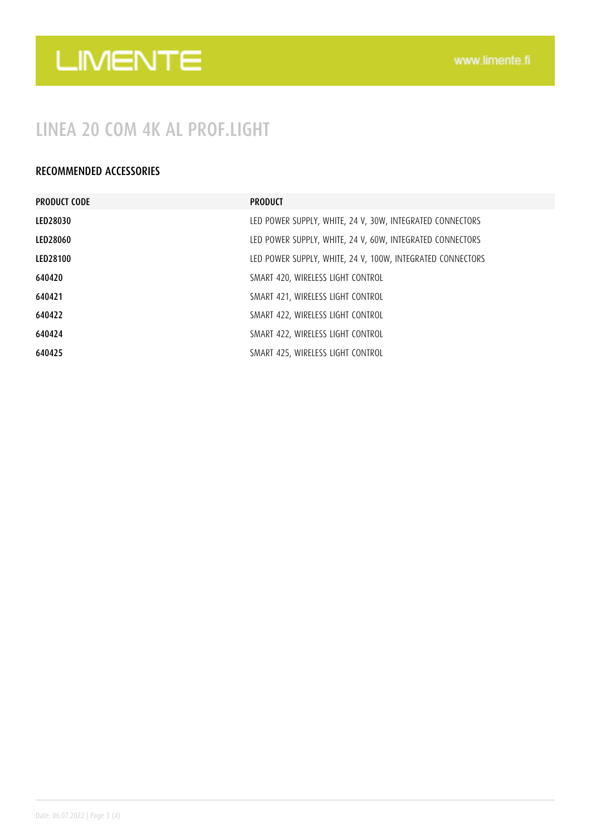# LIMENTE

## LINEA 20 COM 4K AL PROF.LIGHT

## RECOMMENDED ACCESSORIES

| <b>PRODUCT CODE</b> | <b>PRODUCT</b>                                             |
|---------------------|------------------------------------------------------------|
| LED28030            | LED POWER SUPPLY, WHITE, 24 V, 30W, INTEGRATED CONNECTORS  |
| LED28060            | LED POWER SUPPLY, WHITE, 24 V, 60W, INTEGRATED CONNECTORS  |
| LED28100            | LED POWER SUPPLY, WHITE, 24 V, 100W, INTEGRATED CONNECTORS |
| 640420              | SMART 420, WIRELESS LIGHT CONTROL                          |
| 640421              | SMART 421, WIRELESS LIGHT CONTROL                          |
| 640422              | SMART 422, WIRELESS LIGHT CONTROL                          |
| 640424              | SMART 422, WIRELESS LIGHT CONTROL                          |
| 640425              | SMART 425, WIRELESS LIGHT CONTROL                          |